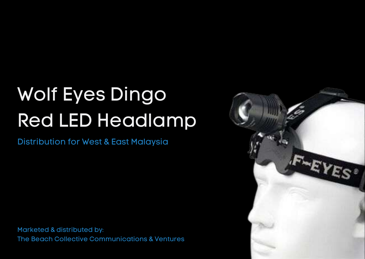# Wolf Eyes Dingo Red LED Headlamp

Distribution for West & East Malaysia

Marketed & distributed by: The Beach Collective Communications & Ventures

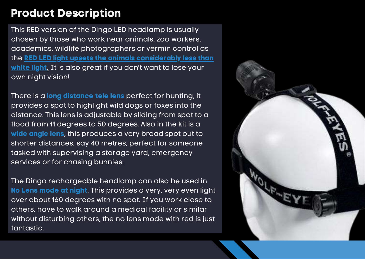### **Product Description**

This RED version of the Dingo LED headlamp is usually chosen by those who work near animals, zoo workers, academics, wildlife photographers or vermin control as the **RED LED light upsets the animals considerably less than white light.** It is also great if you don't want to lose your own night vision!

There is a **long distance tele lens** perfect for hunting, it provides a spot to highlight wild dogs or foxes into the distance. This lens is adjustable by sliding from spot to a flood from 11 degrees to 50 degrees. Also in the kit is a **wide angle lens**, this produces a very broad spot out to shorter distances, say 40 metres, perfect for someone tasked with supervising a storage yard, emergency services or for chasing bunnies.

The Dingo rechargeable headlamp can also be used in **No Lens mode at night**. This provides a very, very even light over about 160 degrees with no spot. If you work close to others, have to walk around a medical facility or similar without disturbing others, the no lens mode with red is just fantastic.

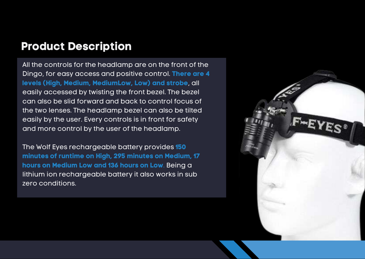### **Product Description**

All the controls for the headlamp are on the front of the Dingo, for easy access and positive control. **There are 4 levels (High, Medium, MediumLow, Low) and strobe**, all easily accessed by twisting the front bezel. The bezel can also be slid forward and back to control focus of the two lenses. The headlamp bezel can also be tilted easily by the user. Every controls is in front for safety and more control by the user of the headlamp.

The Wolf Eyes rechargeable battery provides **150 minutes of runtime on High, 295 minutes on Medium, 17 hours on Medium Low and 136 hours on Low**. Being a lithium ion rechargeable battery it also works in sub zero conditions.

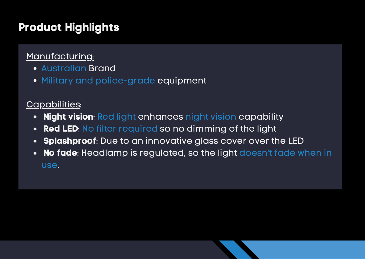### **Product Highlights**

### Manufacturing:

- Australian Brand
- Military and police-grade equipment

### Capabilities:

- **Night vision**: Red light enhances night vision capability  $\bullet$
- **Red LED**: No filter required so no dimming of the light
- **Splashproof**: Due to an innovative glass cover over the LED  $\bullet$
- **No fade**: Headlamp is regulated, so the light doesn't fade when in  $\bullet$ use.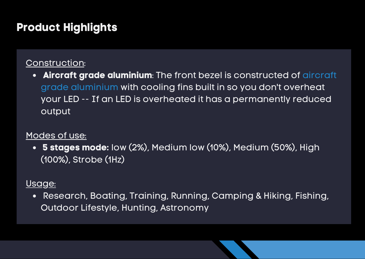### **Product Highlights**

#### Construction:

**Aircraft grade aluminium**: The front bezel is constructed of aircraft  $\bullet$ grade aluminium with cooling fins built in so you don't overheat your LED -- If an LED is overheated it has a permanently reduced output

#### Modes of use:

**5 stages mode:** low (2%), Medium low (10%), Medium (50%), High (100%), Strobe (1Hz)

#### Usage:

Research, Boating, Training, Running, Camping & Hiking, Fishing, Outdoor Lifestyle, Hunting, Astronomy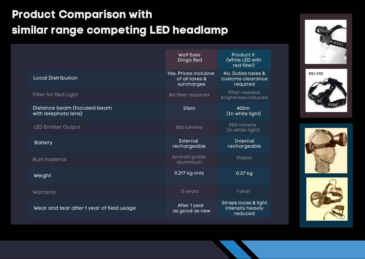# **Product Comparison with similar range competing LED headlamp**

|                                                     | <b>Wolf Eyes</b><br><b>Dingo Red</b>                         | <b>Product X</b><br>(White LED with<br>red filter)   |
|-----------------------------------------------------|--------------------------------------------------------------|------------------------------------------------------|
| <b>Local Distribution</b>                           | <b>Yes. Prices inclusive</b><br>of all taxes &<br>surcharges | No. Duties taxes &<br>customs clearance<br>required  |
| <b>Filter for Red Light</b>                         | No filter required                                           | Filter needed;<br>brightness reduced                 |
| Distance beam (focused beam<br>with telephoto lens) | 216m                                                         | 400m<br>(In white light)                             |
| <b>LED Emitter Output</b>                           | 816 lumens                                                   | 900 lumens<br>(in white light)                       |
| <b>Battery</b>                                      | External<br>rechargeable                                     | Internal<br>rechargeable                             |
| <b>Built material</b>                               | Aircraft grade<br>aluminium                                  | <b>Plastic</b>                                       |
| Weight                                              | 0.217 kg only                                                | 0.37 kg                                              |
| Warranty                                            | 5 years                                                      | 1 year                                               |
| Wear and tear after 1 year of field usage           | After 1 year<br>as good as new                               | Straps loose & light<br>intensity heavily<br>reduced |







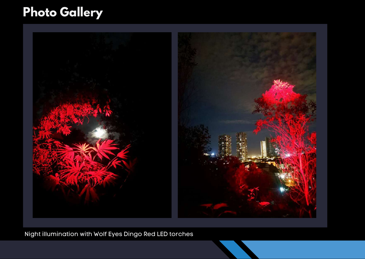# **Photo Gallery**



Night illumination with Wolf Eyes Dingo Red LED torches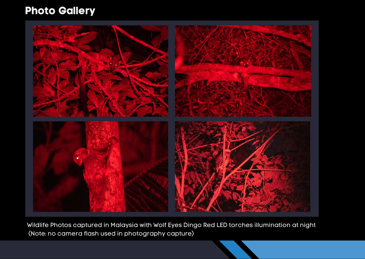### **Photo Gallery**



Wildlife Photos captured in Malaysia with Wolf Eyes Dingo Red LED torches illumination at night (Note: no camera flash used in photography capture)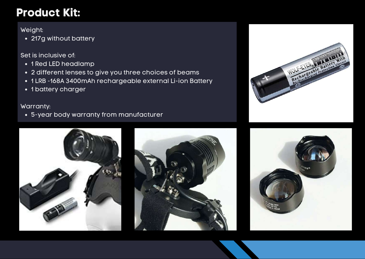### **Product Kit:**

Weight:

• 217g without battery

Set is inclusive of:

- 1 Red LED headlamp
- 2 different lenses to give you three choices of beams
- 1 LRB -168A 3400mAh rechargeable external Li-ion Battery
- 1 battery charger

#### Warranty:

5-year body warranty from manufacturer